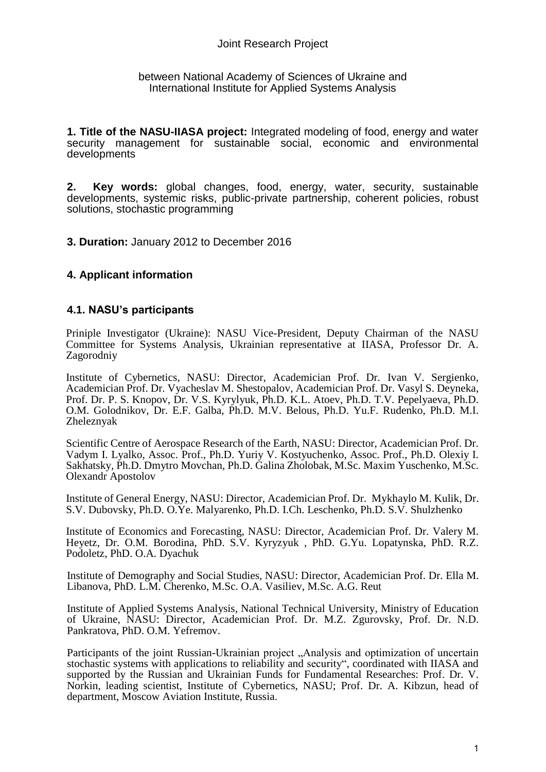#### between National Academy of Sciences of Ukraine and International Institute for Applied Systems Analysis

**1. Title of the NASU-IIASA project:** Integrated modeling of food, energy and water security management for sustainable social, economic and environmental developments

**2. Key words:** global changes, food, energy, water, security, sustainable developments, systemic risks, public-private partnership, coherent policies, robust solutions, stochastic programming

**3. Duration:** January 2012 to December 2016

#### **4. Applicant information**

#### **4.1. NASU's participants**

Priniple Investigator (Ukraine): NASU Vice-President, Deputy Chairman of the NASU Committee for Systems Analysis, Ukrainian representative at IIASA, Professor Dr. A. Zagorodniy

Institute of Cybernetics, NASU: Director, Academician Prof. Dr. Ivan V. Sergienko, Academician Prof. Dr. Vyacheslav M. Shestopalov, Academician Prof. Dr. Vasyl S. Deyneka, Prof. Dr. P. S. Knopov, Dr. V.S. Kyrylyuk, Ph.D. K.L. Atoev, Ph.D. T.V. Pepelyaeva, Ph.D. O.M. Golodnikov, Dr. E.F. Galba, Ph.D. M.V. Belous, Ph.D. Yu.F. Rudenko, Ph.D. M.I. Zheleznyak

Scientific Centre of Aerospace Research of the Earth, NASU: Director, Academician Prof. Dr. Vadym I. Lyalko, Assoc. Prof., Ph.D. Yuriy V. Kostyuchenko, Assoc. Prof., Ph.D. Olexiy I. Sakhatsky, Ph.D. Dmytro Movchan, Ph.D. Galina Zholobak, M.Sc. Maxim Yuschenko, M.Sc. Olexandr Apostolov

Institute of General Energy, NASU: Director, Academician Prof. Dr. Mykhaylo M. Kulik, Dr. S.V. Dubovsky, Ph.D. O.Ye. Malyarenko, Ph.D. I.Ch. Leschenko, Ph.D. S.V. Shulzhenko

Institute of Economics and Forecasting, NASU: Director, Academician Prof. Dr. Valery M. Heyetz, Dr. O.M. Borodina, PhD. S.V. Kyryzyuk , PhD. G.Yu. Lopatynska, PhD. R.Z. Podoletz, PhD. O.A. Dyachuk

Institute of Demography and Social Studies, NASU: Director, Academician Prof. Dr. Ella M. Libanova, PhD. L.M. Cherenko, M.Sc. O.A. Vasiliev, M.Sc. A.G. Reut

Institute of Applied Systems Analysis, National Technical University, Ministry of Education of Ukraine, NASU: Director, Academician Prof. Dr. M.Z. Zgurovsky, Prof. Dr. N.D. Pankratova, PhD. O.M. Yefremov.

Participants of the joint Russian-Ukrainian project "Analysis and optimization of uncertain stochastic systems with applications to reliability and security", coordinated with IIASA and supported by the Russian and Ukrainian Funds for Fundamental Researches: Prof. Dr. V. Norkin, leading scientist, Institute of Cybernetics, NASU; Prof. Dr. A. Kibzun, head of department, Moscow Aviation Institute, Russia.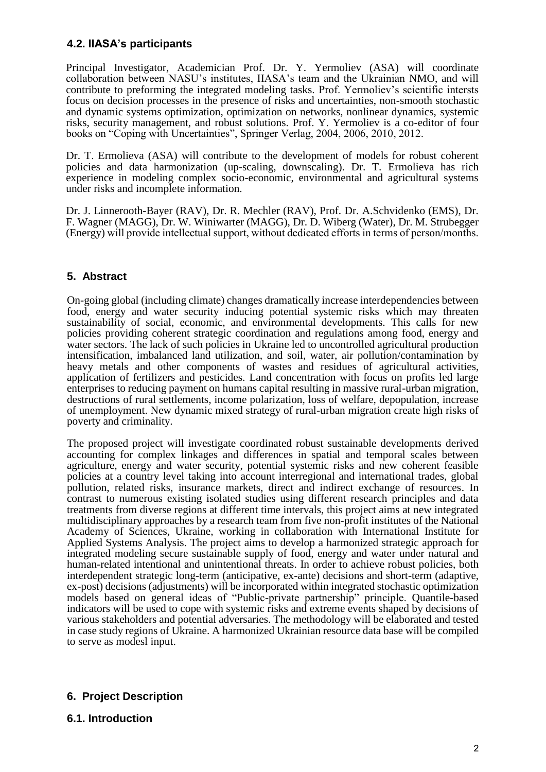#### **4.2. IIASA's participants**

Principal Investigator, Academician Prof. Dr. Y. Yermoliev (ASA) will coordinate collaboration between NASU's institutes, IIASA's team and the Ukrainian NMO, and will contribute to preforming the integrated modeling tasks. Prof. Yermoliev's scientific intersts focus on decision processes in the presence of risks and uncertainties, non-smooth stochastic and dynamic systems optimization, optimization on networks, nonlinear dynamics, systemic risks, security management, and robust solutions. Prof. Y. Yermoliev is a co-editor of four books on "Coping with Uncertainties", Springer Verlag, 2004, 2006, 2010, 2012.

Dr. T. Ermolieva (ASA) will contribute to the development of models for robust coherent policies and data harmonization (up-scaling, downscaling). Dr. T. Ermolieva has rich experience in modeling complex socio-economic, environmental and agricultural systems under risks and incomplete information.

Dr. J. Linnerooth-Bayer (RAV), Dr. R. Mechler (RAV), Prof. Dr. A.Schvidenko (EMS), Dr. F. Wagner (MAGG), Dr. W. Winiwarter (MAGG), Dr. D. Wiberg (Water), Dr. M. Strubegger (Energy) will provide intellectual support, without dedicated efforts in terms of person/months.

#### **5. Abstract**

On-going global (including climate) changes dramatically increase interdependencies between food, energy and water security inducing potential systemic risks which may threaten sustainability of social, economic, and environmental developments. This calls for new policies providing coherent strategic coordination and regulations among food, energy and water sectors. The lack of such policies in Ukraine led to uncontrolled agricultural production intensification, imbalanced land utilization, and soil, water, air pollution/contamination by heavy metals and other components of wastes and residues of agricultural activities, application of fertilizers and pesticides. Land concentration with focus on profits led large enterprises to reducing payment on humans capital resulting in massive rural-urban migration, destructions of rural settlements, income polarization, loss of welfare, depopulation, increase of unemployment. New dynamic mixed strategy of rural-urban migration create high risks of poverty and criminality.

The proposed project will investigate coordinated robust sustainable developments derived accounting for complex linkages and differences in spatial and temporal scales between agriculture, energy and water security, potential systemic risks and new coherent feasible policies at a country level taking into account interregional and international trades, global pollution, related risks, insurance markets, direct and indirect exchange of resources. In contrast to numerous existing isolated studies using different research principles and data treatments from diverse regions at different time intervals, this project aims at new integrated multidisciplinary approaches by a research team from five non-profit institutes of the National Academy of Sciences, Ukraine, working in collaboration with International Institute for Applied Systems Analysis. The project aims to develop a harmonized strategic approach for integrated modeling secure sustainable supply of food, energy and water under natural and human-related intentional and unintentional threats. In order to achieve robust policies, both interdependent strategic long-term (anticipative, ex-ante) decisions and short-term (adaptive, ex-post) decisions (adjustments) will be incorporated within integrated stochastic optimization models based on general ideas of "Public-private partnership" principle. Quantile-based indicators will be used to cope with systemic risks and extreme events shaped by decisions of various stakeholders and potential adversaries. The methodology will be elaborated and tested in case study regions of Ukraine. A harmonized Ukrainian resource data base will be compiled to serve as modesl input.

# **6. Project Description**

#### **6.1. Introduction**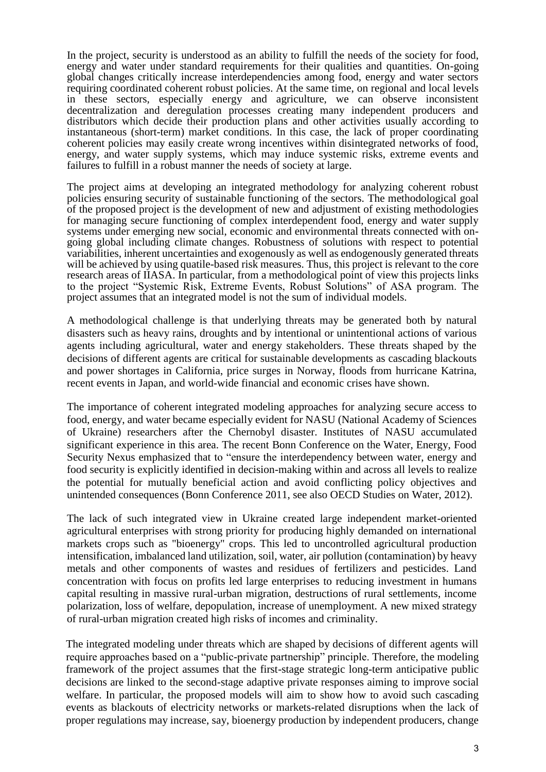In the project, security is understood as an ability to fulfill the needs of the society for food, energy and water under standard requirements for their qualities and quantities. On-going global changes critically increase interdependencies among food, energy and water sectors requiring coordinated coherent robust policies. At the same time, on regional and local levels in these sectors, especially energy and agriculture, we can observe inconsistent decentralization and deregulation processes creating many independent producers and distributors which decide their production plans and other activities usually according to instantaneous (short-term) market conditions. In this case, the lack of proper coordinating coherent policies may easily create wrong incentives within disintegrated networks of food, energy, and water supply systems, which may induce systemic risks, extreme events and failures to fulfill in a robust manner the needs of society at large.

The project aims at developing an integrated methodology for analyzing coherent robust policies ensuring security of sustainable functioning of the sectors. The methodological goal of the proposed project is the development of new and adjustment of existing methodologies for managing secure functioning of complex interdependent food, energy and water supply systems under emerging new social, economic and environmental threats connected with ongoing global including climate changes. Robustness of solutions with respect to potential variabilities, inherent uncertainties and exogenously as well as endogenously generated threats will be achieved by using quatile-based risk measures. Thus, this project is relevant to the core research areas of IIASA. In particular, from a methodological point of view this projects links to the project "Systemic Risk, Extreme Events, Robust Solutions" of ASA program. The project assumes that an integrated model is not the sum of individual models.

A methodological challenge is that underlying threats may be generated both by natural disasters such as heavy rains, droughts and by intentional or unintentional actions of various agents including agricultural, water and energy stakeholders. These threats shaped by the decisions of different agents are critical for sustainable developments as cascading blackouts and power shortages in California, price surges in Norway, floods from hurricane Katrina, recent events in Japan, and world-wide financial and economic crises have shown.

The importance of coherent integrated modeling approaches for analyzing secure access to food, energy, and water became especially evident for NASU (National Academy of Sciences of Ukraine) researchers after the Chernobyl disaster. Institutes of NASU accumulated significant experience in this area. The recent Bonn Conference on the Water, Energy, Food Security Nexus emphasized that to "ensure the interdependency between water, energy and food security is explicitly identified in decision-making within and across all levels to realize the potential for mutually beneficial action and avoid conflicting policy objectives and unintended consequences (Bonn Conference 2011, see also OECD Studies on Water, 2012).

The lack of such integrated view in Ukraine created large independent market-oriented agricultural enterprises with strong priority for producing highly demanded on international markets crops such as "bioenergy" crops. This led to uncontrolled agricultural production intensification, imbalanced land utilization, soil, water, air pollution (contamination) by heavy metals and other components of wastes and residues of fertilizers and pesticides. Land concentration with focus on profits led large enterprises to reducing investment in humans capital resulting in massive rural-urban migration, destructions of rural settlements, income polarization, loss of welfare, depopulation, increase of unemployment. A new mixed strategy of rural-urban migration created high risks of incomes and criminality.

The integrated modeling under threats which are shaped by decisions of different agents will require approaches based on a "public-private partnership" principle. Therefore, the modeling framework of the project assumes that the first-stage strategic long-term anticipative public decisions are linked to the second-stage adaptive private responses aiming to improve social welfare. In particular, the proposed models will aim to show how to avoid such cascading events as blackouts of electricity networks or markets-related disruptions when the lack of proper regulations may increase, say, bioenergy production by independent producers, change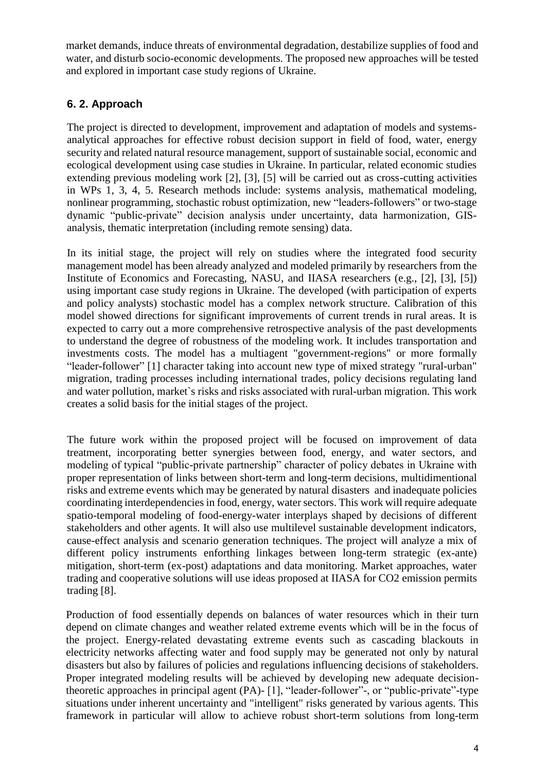market demands, induce threats of environmental degradation, destabilize supplies of food and water, and disturb socio-economic developments. The proposed new approaches will be tested and explored in important case study regions of Ukraine.

# **6. 2. Approach**

The project is directed to development, improvement and adaptation of models and systemsanalytical approaches for effective robust decision support in field of food, water, energy security and related natural resource management, support of sustainable social, economic and ecological development using case studies in Ukraine. In particular, related economic studies extending previous modeling work [2], [3], [5] will be carried out as cross-cutting activities in WPs 1, 3, 4, 5. Research methods include: systems analysis, mathematical modeling, nonlinear programming, stochastic robust optimization, new "leaders-followers" or two-stage dynamic "public-private" decision analysis under uncertainty, data harmonization, GISanalysis, thematic interpretation (including remote sensing) data.

In its initial stage, the project will rely on studies where the integrated food security management model has been already analyzed and modeled primarily by researchers from the Institute of Economics and Forecasting, NASU, and IIASA researchers (e.g., [2], [3], [5]) using important case study regions in Ukraine. The developed (with participation of experts and policy analysts) stochastic model has a complex network structure. Calibration of this model showed directions for significant improvements of current trends in rural areas. It is expected to carry out a more comprehensive retrospective analysis of the past developments to understand the degree of robustness of the modeling work. It includes transportation and investments costs. The model has a multiagent "government-regions" or more formally "leader-follower" [1] character taking into account new type of mixed strategy "rural-urban" migration, trading processes including international trades, policy decisions regulating land and water pollution, market`s risks and risks associated with rural-urban migration. This work creates a solid basis for the initial stages of the project.

The future work within the proposed project will be focused on improvement of data treatment, incorporating better synergies between food, energy, and water sectors, and modeling of typical "public-private partnership" character of policy debates in Ukraine with proper representation of links between short-term and long-term decisions, multidimentional risks and extreme events which may be generated by natural disasters and inadequate policies coordinating interdependencies in food, energy, water sectors. This work will require adequate spatio-temporal modeling of food-energy-water interplays shaped by decisions of different stakeholders and other agents. It will also use multilevel sustainable development indicators, cause-effect analysis and scenario generation techniques. The project will analyze a mix of different policy instruments enforthing linkages between long-term strategic (ex-ante) mitigation, short-term (ex-post) adaptations and data monitoring. Market approaches, water trading and cooperative solutions will use ideas proposed at IIASA for CO2 emission permits trading [8].

Production of food essentially depends on balances of water resources which in their turn depend on climate changes and weather related extreme events which will be in the focus of the project. Energy-related devastating extreme events such as cascading blackouts in electricity networks affecting water and food supply may be generated not only by natural disasters but also by failures of policies and regulations influencing decisions of stakeholders. Proper integrated modeling results will be achieved by developing new adequate decisiontheoretic approaches in principal agent (PA)- [1], "leader-follower"-, or "public-private"-type situations under inherent uncertainty and "intelligent" risks generated by various agents. This framework in particular will allow to achieve robust short-term solutions from long-term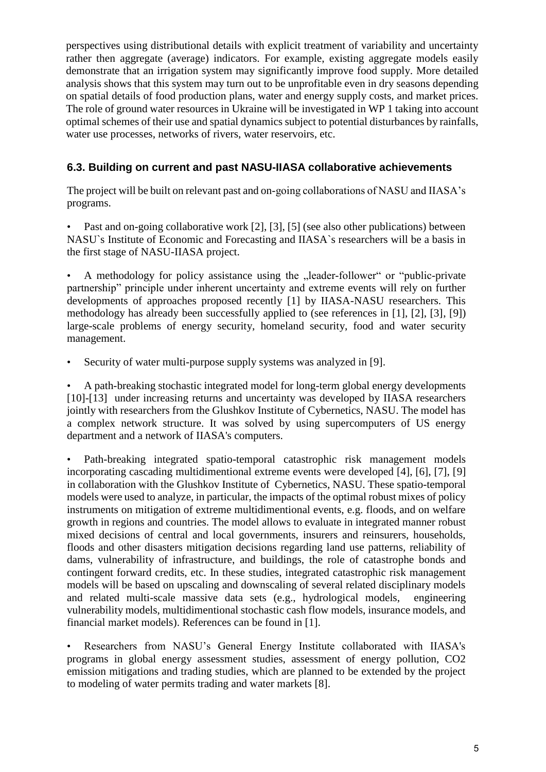perspectives using distributional details with explicit treatment of variability and uncertainty rather then aggregate (average) indicators. For example, existing aggregate models easily demonstrate that an irrigation system may significantly improve food supply. More detailed analysis shows that this system may turn out to be unprofitable even in dry seasons depending on spatial details of food production plans, water and energy supply costs, and market prices. The role of ground water resources in Ukraine will be investigated in WP 1 taking into account optimal schemes of their use and spatial dynamics subject to potential disturbances by rainfalls, water use processes, networks of rivers, water reservoirs, etc.

# **6.3. Building on current and past NASU-IIASA collaborative achievements**

The project will be built on relevant past and on-going collaborations of NASU and IIASA's programs.

Past and on-going collaborative work [2], [3], [5] (see also other publications) between NASU`s Institute of Economic and Forecasting and IIASA`s researchers will be a basis in the first stage of NASU-IIASA project.

• A methodology for policy assistance using the "leader-follower" or "public-private" partnership" principle under inherent uncertainty and extreme events will rely on further developments of approaches proposed recently [1] by IIASA-NASU researchers. This methodology has already been successfully applied to (see references in [1], [2], [3], [9]) large-scale problems of energy security, homeland security, food and water security management.

• Security of water multi-purpose supply systems was analyzed in [9].

• A path-breaking stochastic integrated model for long-term global energy developments [10]-[13] under increasing returns and uncertainty was developed by IIASA researchers jointly with researchers from the Glushkov Institute of Cybernetics, NASU. The model has a complex network structure. It was solved by using supercomputers of US energy department and a network of IIASA's computers.

• Path-breaking integrated spatio-temporal catastrophic risk management models incorporating cascading multidimentional extreme events were developed [4], [6], [7], [9] in collaboration with the Glushkov Institute of Cybernetics, NASU. These spatio-temporal models were used to analyze, in particular, the impacts of the optimal robust mixes of policy instruments on mitigation of extreme multidimentional events, e.g. floods, and on welfare growth in regions and countries. The model allows to evaluate in integrated manner robust mixed decisions of central and local governments, insurers and reinsurers, households, floods and other disasters mitigation decisions regarding land use patterns, reliability of dams, vulnerability of infrastructure, and buildings, the role of catastrophe bonds and contingent forward credits, etc. In these studies, integrated catastrophic risk management models will be based on upscaling and downscaling of several related disciplinary models and related multi-scale massive data sets (e.g., hydrological models, engineering vulnerability models, multidimentional stochastic cash flow models, insurance models, and financial market models). References can be found in [1].

• Researchers from NASU's General Energy Institute collaborated with IIASA's programs in global energy assessment studies, assessment of energy pollution, CO2 emission mitigations and trading studies, which are planned to be extended by the project to modeling of water permits trading and water markets [8].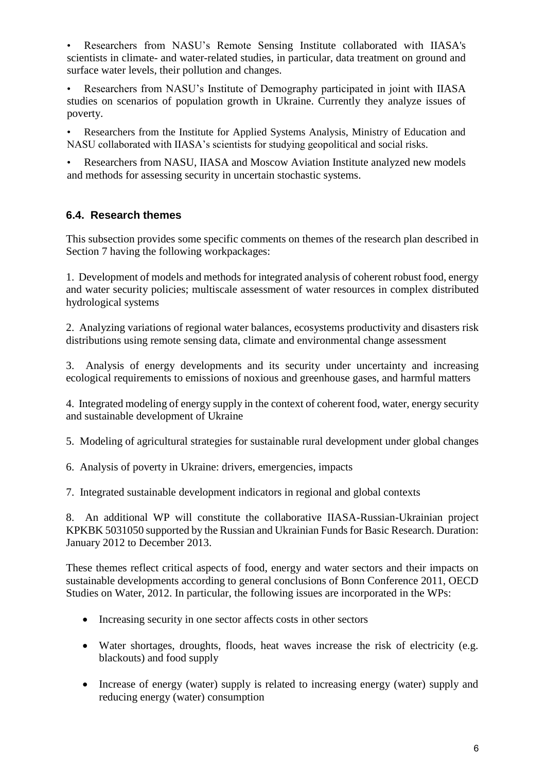• Researchers from NASU's Remote Sensing Institute collaborated with IIASA's scientists in climate- and water-related studies, in particular, data treatment on ground and surface water levels, their pollution and changes.

• Researchers from NASU's Institute of Demography participated in joint with IIASA studies on scenarios of population growth in Ukraine. Currently they analyze issues of poverty.

• Researchers from the Institute for Applied Systems Analysis, Ministry of Education and NASU collaborated with IIASA's scientists for studying geopolitical and social risks.

• Researchers from NASU, IIASA and Moscow Aviation Institute analyzed new models and methods for assessing security in uncertain stochastic systems.

# **6.4. Research themes**

This subsection provides some specific comments on themes of the research plan described in Section 7 having the following workpackages:

1. Development of models and methods for integrated analysis of coherent robust food, energy and water security policies; multiscale assessment of water resources in complex distributed hydrological systems

2. Analyzing variations of regional water balances, ecosystems productivity and disasters risk distributions using remote sensing data, climate and environmental change assessment

3. Analysis of energy developments and its security under uncertainty and increasing ecological requirements to emissions of noxious and greenhouse gases, and harmful matters

4. Integrated modeling of energy supply in the context of coherent food, water, energy security and sustainable development of Ukraine

5. Modeling of agricultural strategies for sustainable rural development under global changes

6. Analysis of poverty in Ukraine: drivers, emergencies, impacts

7. Integrated sustainable development indicators in regional and global contexts

8. An additional WP will constitute the collaborative IIASA-Russian-Ukrainian project KPKBK 5031050 supported by the Russian and Ukrainian Funds for Basic Research. Duration: January 2012 to December 2013.

These themes reflect critical aspects of food, energy and water sectors and their impacts on sustainable developments according to general conclusions of Bonn Conference 2011, OECD Studies on Water, 2012. In particular, the following issues are incorporated in the WPs:

- Increasing security in one sector affects costs in other sectors
- Water shortages, droughts, floods, heat waves increase the risk of electricity (e.g. blackouts) and food supply
- Increase of energy (water) supply is related to increasing energy (water) supply and reducing energy (water) consumption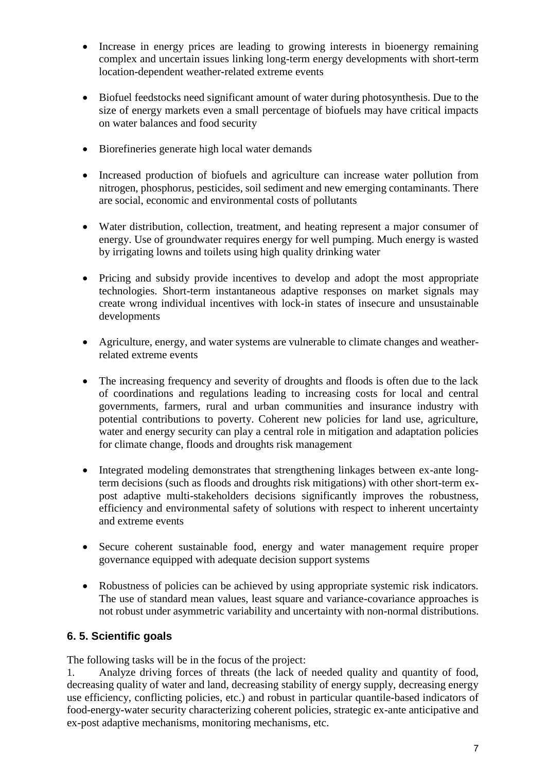- Increase in energy prices are leading to growing interests in bioenergy remaining complex and uncertain issues linking long-term energy developments with short-term location-dependent weather-related extreme events
- Biofuel feedstocks need significant amount of water during photosynthesis. Due to the size of energy markets even a small percentage of biofuels may have critical impacts on water balances and food security
- Biorefineries generate high local water demands
- Increased production of biofuels and agriculture can increase water pollution from nitrogen, phosphorus, pesticides, soil sediment and new emerging contaminants. There are social, economic and environmental costs of pollutants
- Water distribution, collection, treatment, and heating represent a major consumer of energy. Use of groundwater requires energy for well pumping. Much energy is wasted by irrigating lowns and toilets using high quality drinking water
- Pricing and subsidy provide incentives to develop and adopt the most appropriate technologies. Short-term instantaneous adaptive responses on market signals may create wrong individual incentives with lock-in states of insecure and unsustainable developments
- Agriculture, energy, and water systems are vulnerable to climate changes and weatherrelated extreme events
- The increasing frequency and severity of droughts and floods is often due to the lack of coordinations and regulations leading to increasing costs for local and central governments, farmers, rural and urban communities and insurance industry with potential contributions to poverty. Coherent new policies for land use, agriculture, water and energy security can play a central role in mitigation and adaptation policies for climate change, floods and droughts risk management
- Integrated modeling demonstrates that strengthening linkages between ex-ante longterm decisions (such as floods and droughts risk mitigations) with other short-term expost adaptive multi-stakeholders decisions significantly improves the robustness, efficiency and environmental safety of solutions with respect to inherent uncertainty and extreme events
- Secure coherent sustainable food, energy and water management require proper governance equipped with adequate decision support systems
- Robustness of policies can be achieved by using appropriate systemic risk indicators. The use of standard mean values, least square and variance-covariance approaches is not robust under asymmetric variability and uncertainty with non-normal distributions.

# **6. 5. Scientific goals**

The following tasks will be in the focus of the project:

1. Analyze driving forces of threats (the lack of needed quality and quantity of food, decreasing quality of water and land, decreasing stability of energy supply, decreasing energy use efficiency, conflicting policies, etc.) and robust in particular quantile-based indicators of food-energy-water security characterizing coherent policies, strategic ex-ante anticipative and ex-post adaptive mechanisms, monitoring mechanisms, etc.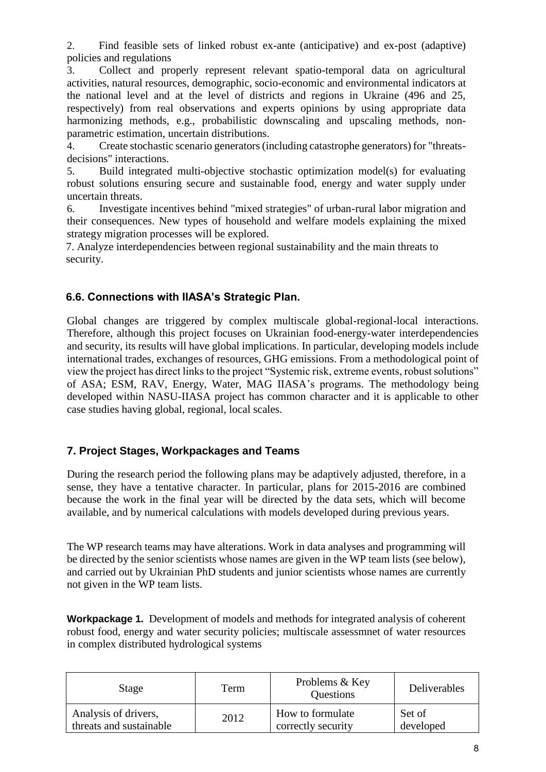2. Find feasible sets of linked robust ex-ante (anticipative) and ex-post (adaptive) policies and regulations

3. Collect and properly represent relevant spatio-temporal data on agricultural activities, natural resources, demographic, socio-economic and environmental indicators at the national level and at the level of districts and regions in Ukraine (496 and 25, respectively) from real observations and experts opinions by using appropriate data harmonizing methods, e.g., probabilistic downscaling and upscaling methods, nonparametric estimation, uncertain distributions.

4. Create stochastic scenario generators (including catastrophe generators) for "threatsdecisions" interactions.

5. Build integrated multi-objective stochastic optimization model(s) for evaluating robust solutions ensuring secure and sustainable food, energy and water supply under uncertain threats.

6. Investigate incentives behind "mixed strategies" of urban-rural labor migration and their consequences. New types of household and welfare models explaining the mixed strategy migration processes will be explored.

7. Analyze interdependencies between regional sustainability and the main threats to security.

# **6.6. Connections with IIASA's Strategic Plan.**

Global changes are triggered by complex multiscale global-regional-local interactions. Therefore, although this project focuses on Ukrainian food-energy-water interdependencies and security, its results will have global implications. In particular, developing models include international trades, exchanges of resources, GHG emissions. From a methodological point of view the project has direct links to the project "Systemic risk, extreme events, robust solutions" of ASA; ESM, RAV, Energy, Water, MAG IIASA's programs. The methodology being developed within NASU-IIASA project has common character and it is applicable to other case studies having global, regional, local scales.

# **7. Project Stages, Workpackages and Teams**

During the research period the following plans may be adaptively adjusted, therefore, in a sense, they have a tentative character. In particular, plans for 2015-2016 are combined because the work in the final year will be directed by the data sets, which will become available, and by numerical calculations with models developed during previous years.

The WP research teams may have alterations. Work in data analyses and programming will be directed by the senior scientists whose names are given in the WP team lists (see below), and carried out by Ukrainian PhD students and junior scientists whose names are currently not given in the WP team lists.

**Workpackage 1.** Development of models and methods for integrated analysis of coherent robust food, energy and water security policies; multiscale assessmnet of water resources in complex distributed hydrological systems

| Stage                   | Term | Problems & Key<br>Questions | Deliverables |
|-------------------------|------|-----------------------------|--------------|
| Analysis of drivers,    | 2012 | How to formulate            | Set of       |
| threats and sustainable |      | correctly security          | developed    |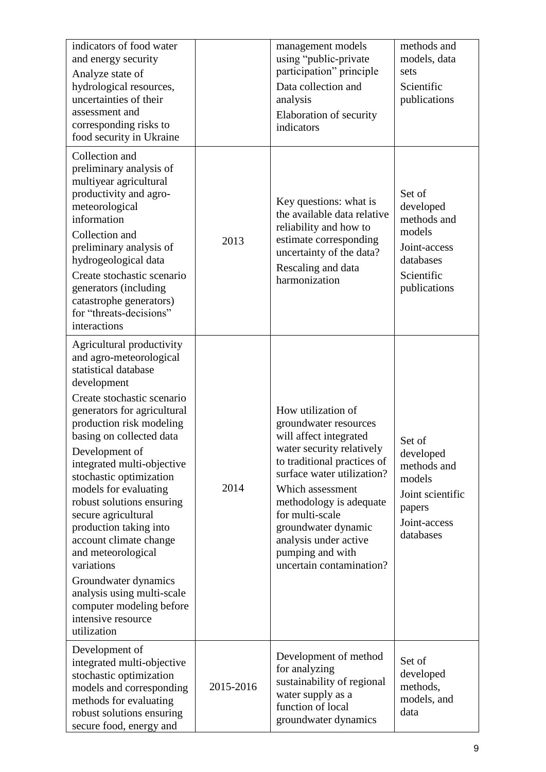| indicators of food water<br>and energy security<br>Analyze state of<br>hydrological resources,<br>uncertainties of their<br>assessment and<br>corresponding risks to<br>food security in Ukraine                                                                                                                                                                                                                                                                                                                                                                                        |           | management models<br>using "public-private"<br>participation" principle<br>Data collection and<br>analysis<br>Elaboration of security<br>indicators                                                                                                                                                                               | methods and<br>models, data<br>sets<br>Scientific<br>publications                                       |
|-----------------------------------------------------------------------------------------------------------------------------------------------------------------------------------------------------------------------------------------------------------------------------------------------------------------------------------------------------------------------------------------------------------------------------------------------------------------------------------------------------------------------------------------------------------------------------------------|-----------|-----------------------------------------------------------------------------------------------------------------------------------------------------------------------------------------------------------------------------------------------------------------------------------------------------------------------------------|---------------------------------------------------------------------------------------------------------|
| Collection and<br>preliminary analysis of<br>multiyear agricultural<br>productivity and agro-<br>meteorological<br>information<br>Collection and<br>preliminary analysis of<br>hydrogeological data<br>Create stochastic scenario<br>generators (including<br>catastrophe generators)<br>for "threats-decisions"<br>interactions                                                                                                                                                                                                                                                        | 2013      | Key questions: what is<br>the available data relative<br>reliability and how to<br>estimate corresponding<br>uncertainty of the data?<br>Rescaling and data<br>harmonization                                                                                                                                                      | Set of<br>developed<br>methods and<br>models<br>Joint-access<br>databases<br>Scientific<br>publications |
| Agricultural productivity<br>and agro-meteorological<br>statistical database<br>development<br>Create stochastic scenario<br>generators for agricultural<br>production risk modeling<br>basing on collected data<br>Development of<br>integrated multi-objective<br>stochastic optimization<br>models for evaluating<br>robust solutions ensuring<br>secure agricultural<br>production taking into<br>account climate change<br>and meteorological<br>variations<br>Groundwater dynamics<br>analysis using multi-scale<br>computer modeling before<br>intensive resource<br>utilization | 2014      | How utilization of<br>groundwater resources<br>will affect integrated<br>water security relatively<br>to traditional practices of<br>surface water utilization?<br>Which assessment<br>methodology is adequate<br>for multi-scale<br>groundwater dynamic<br>analysis under active<br>pumping and with<br>uncertain contamination? | Set of<br>developed<br>methods and<br>models<br>Joint scientific<br>papers<br>Joint-access<br>databases |
| Development of<br>integrated multi-objective<br>stochastic optimization<br>models and corresponding<br>methods for evaluating<br>robust solutions ensuring<br>secure food, energy and                                                                                                                                                                                                                                                                                                                                                                                                   | 2015-2016 | Development of method<br>for analyzing<br>sustainability of regional<br>water supply as a<br>function of local<br>groundwater dynamics                                                                                                                                                                                            | Set of<br>developed<br>methods,<br>models, and<br>data                                                  |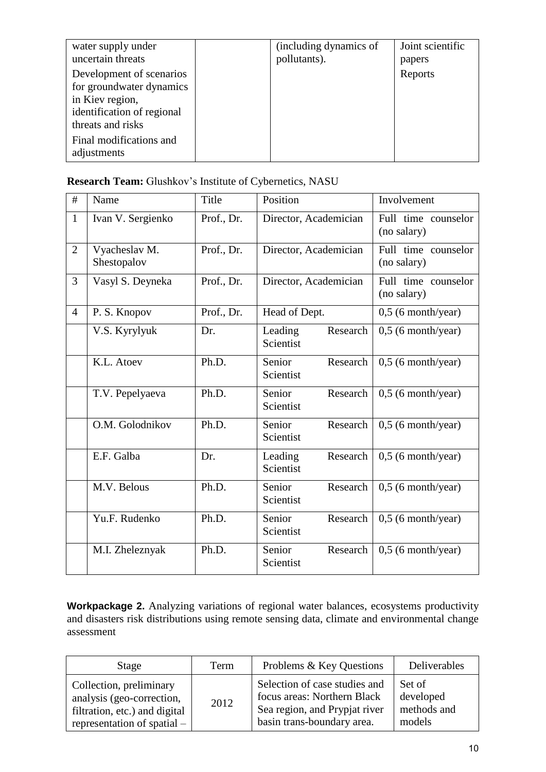| water supply under                                                                                                                                                   | (including dynamics of | Joint scientific |
|----------------------------------------------------------------------------------------------------------------------------------------------------------------------|------------------------|------------------|
| uncertain threats                                                                                                                                                    | pollutants).           | papers           |
| Development of scenarios<br>for groundwater dynamics<br>in Kiev region,<br>identification of regional<br>threats and risks<br>Final modifications and<br>adjustments |                        | Reports          |

# **Research Team:** Glushkov's Institute of Cybernetics, NASU

| #              | Name                         | Title      | Position                         | Involvement                        |
|----------------|------------------------------|------------|----------------------------------|------------------------------------|
| $\mathbf{1}$   | Ivan V. Sergienko            | Prof., Dr. | Director, Academician            | Full time counselor<br>(no salary) |
| $\overline{2}$ | Vyacheslav M.<br>Shestopalov | Prof., Dr. | Director, Academician            | Full time counselor<br>(no salary) |
| 3              | Vasyl S. Deyneka             | Prof., Dr. | Director, Academician            | Full time counselor<br>(no salary) |
| $\overline{4}$ | P. S. Knopov                 | Prof., Dr. | Head of Dept.                    | $0,5$ (6 month/year)               |
|                | V.S. Kyrylyuk                | Dr.        | Leading<br>Research<br>Scientist | $0,5$ (6 month/year)               |
|                | K.L. Atoev                   | Ph.D.      | Senior<br>Research<br>Scientist  | $0,5$ (6 month/year)               |
|                | T.V. Pepelyaeva              | Ph.D.      | Senior<br>Research<br>Scientist  | $0,5$ (6 month/year)               |
|                | O.M. Golodnikov              | Ph.D.      | Senior<br>Research<br>Scientist  | $0,5$ (6 month/year)               |
|                | E.F. Galba                   | Dr.        | Leading<br>Research<br>Scientist | $0,5$ (6 month/year)               |
|                | M.V. Belous                  | Ph.D.      | Senior<br>Research<br>Scientist  | $0,5$ (6 month/year)               |
|                | Yu.F. Rudenko                | Ph.D.      | Senior<br>Research<br>Scientist  | $0,5$ (6 month/year)               |
|                | M.I. Zheleznyak              | Ph.D.      | Senior<br>Research<br>Scientist  | $0,5$ (6 month/year)               |

**Workpackage 2.** Analyzing variations of regional water balances, ecosystems productivity and disasters risk distributions using remote sensing data, climate and environmental change assessment

| Stage                         | Term | Problems & Key Questions      | Deliverables |
|-------------------------------|------|-------------------------------|--------------|
| Collection, preliminary       | 2012 | Selection of case studies and | Set of       |
| analysis (geo-correction,     |      | focus areas: Northern Black   | developed    |
| filtration, etc.) and digital |      | Sea region, and Prypjat river | methods and  |
| representation of spatial –   |      | basin trans-boundary area.    | models       |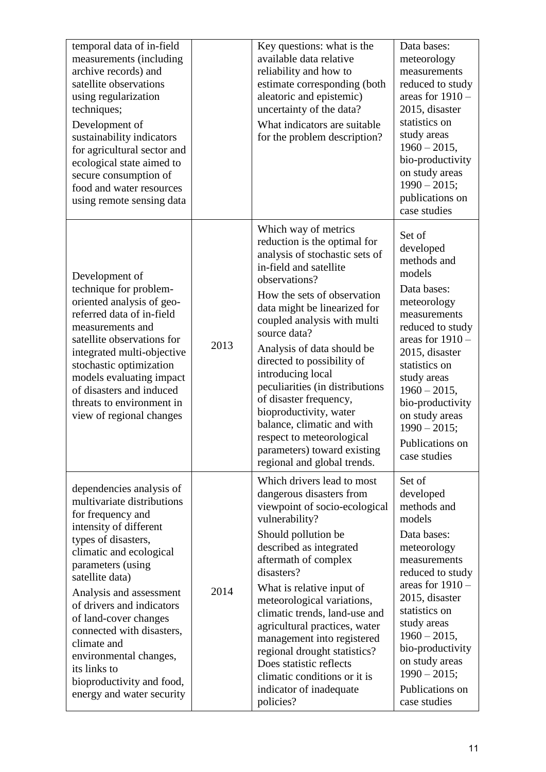| temporal data of in-field<br>measurements (including<br>archive records) and<br>satellite observations<br>using regularization<br>techniques;<br>Development of<br>sustainability indicators<br>for agricultural sector and<br>ecological state aimed to<br>secure consumption of<br>food and water resources<br>using remote sensing data                                                                                       |      | Key questions: what is the<br>available data relative<br>reliability and how to<br>estimate corresponding (both<br>aleatoric and epistemic)<br>uncertainty of the data?<br>What indicators are suitable<br>for the problem description?                                                                                                                                                                                                                                                                                                          | Data bases:<br>meteorology<br>measurements<br>reduced to study<br>areas for $1910 -$<br>2015, disaster<br>statistics on<br>study areas<br>$1960 - 2015$ ,<br>bio-productivity<br>on study areas<br>$1990 - 2015$ ;<br>publications on<br>case studies                                                 |
|----------------------------------------------------------------------------------------------------------------------------------------------------------------------------------------------------------------------------------------------------------------------------------------------------------------------------------------------------------------------------------------------------------------------------------|------|--------------------------------------------------------------------------------------------------------------------------------------------------------------------------------------------------------------------------------------------------------------------------------------------------------------------------------------------------------------------------------------------------------------------------------------------------------------------------------------------------------------------------------------------------|-------------------------------------------------------------------------------------------------------------------------------------------------------------------------------------------------------------------------------------------------------------------------------------------------------|
| Development of<br>technique for problem-<br>oriented analysis of geo-<br>referred data of in-field<br>measurements and<br>satellite observations for<br>integrated multi-objective<br>stochastic optimization<br>models evaluating impact<br>of disasters and induced<br>threats to environment in<br>view of regional changes                                                                                                   | 2013 | Which way of metrics<br>reduction is the optimal for<br>analysis of stochastic sets of<br>in-field and satellite<br>observations?<br>How the sets of observation<br>data might be linearized for<br>coupled analysis with multi<br>source data?<br>Analysis of data should be<br>directed to possibility of<br>introducing local<br>peculiarities (in distributions<br>of disaster frequency,<br>bioproductivity, water<br>balance, climatic and with<br>respect to meteorological<br>parameters) toward existing<br>regional and global trends. | Set of<br>developed<br>methods and<br>models<br>Data bases:<br>meteorology<br>measurements<br>reduced to study<br>areas for $1910 -$<br>2015, disaster<br>statistics on<br>study areas<br>$1960 - 2015$ ,<br>bio-productivity<br>on study areas<br>$1990 - 2015;$<br>Publications on<br>case studies  |
| dependencies analysis of<br>multivariate distributions<br>for frequency and<br>intensity of different<br>types of disasters,<br>climatic and ecological<br>parameters (using<br>satellite data)<br>Analysis and assessment<br>of drivers and indicators<br>of land-cover changes<br>connected with disasters,<br>climate and<br>environmental changes,<br>its links to<br>bioproductivity and food,<br>energy and water security | 2014 | Which drivers lead to most<br>dangerous disasters from<br>viewpoint of socio-ecological<br>vulnerability?<br>Should pollution be<br>described as integrated<br>aftermath of complex<br>disasters?<br>What is relative input of<br>meteorological variations,<br>climatic trends, land-use and<br>agricultural practices, water<br>management into registered<br>regional drought statistics?<br>Does statistic reflects<br>climatic conditions or it is<br>indicator of inadequate<br>policies?                                                  | Set of<br>developed<br>methods and<br>models<br>Data bases:<br>meteorology<br>measurements<br>reduced to study<br>areas for $1910 -$<br>2015, disaster<br>statistics on<br>study areas<br>$1960 - 2015$ ,<br>bio-productivity<br>on study areas<br>$1990 - 2015$ ;<br>Publications on<br>case studies |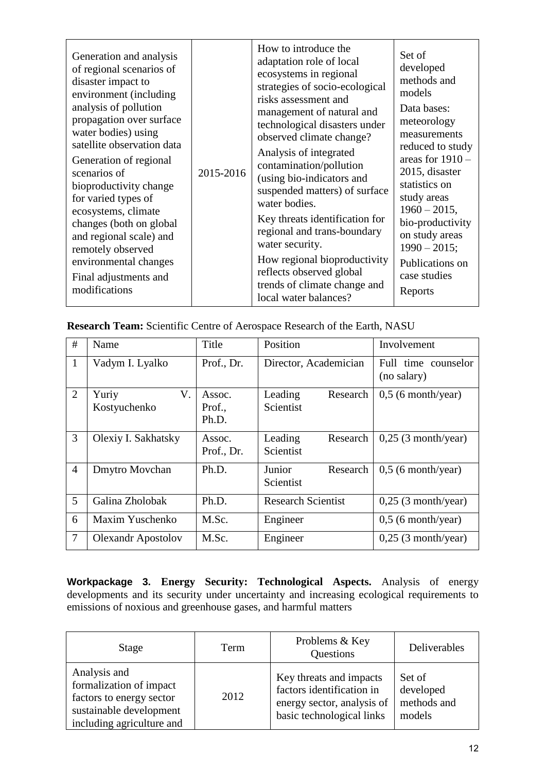| #              | Name                        | Title                     | Position                         | Involvement                        |
|----------------|-----------------------------|---------------------------|----------------------------------|------------------------------------|
| $\mathbf{1}$   | Vadym I. Lyalko             | Prof., Dr.                | Director, Academician            | Full time counselor<br>(no salary) |
|                |                             |                           |                                  |                                    |
| $\overline{2}$ | V.<br>Yuriy<br>Kostyuchenko | Assoc.<br>Prof.,<br>Ph.D. | Leading<br>Research<br>Scientist | $0,5$ (6 month/year)               |
| 3              | Olexiy I. Sakhatsky         | Assoc.<br>Prof., Dr.      | Leading<br>Research<br>Scientist | $0,25$ (3 month/year)              |
| $\overline{4}$ | <b>Dmytro Movchan</b>       | Ph.D.                     | Junior<br>Research<br>Scientist  | $0.5$ (6 month/year)               |
| 5              | Galina Zholobak             | Ph.D.                     | <b>Research Scientist</b>        | $0,25$ (3 month/year)              |
| 6              | Maxim Yuschenko             | M.Sc.                     | Engineer                         | $0,5$ (6 month/year)               |
| $\overline{7}$ | <b>Olexandr</b> Apostolov   | M.Sc.                     | Engineer                         | $0.25$ (3 month/year)              |

**Research Team:** Scientific Centre of Aerospace Research of the Earth, NASU

**Workpackage 3. Energy Security: Technological Aspects.** Analysis of energy developments and its security under uncertainty and increasing ecological requirements to emissions of noxious and greenhouse gases, and harmful matters

| Stage                                                                                                                       | Term | Problems & Key<br>Questions                                                                                     | Deliverables                                 |
|-----------------------------------------------------------------------------------------------------------------------------|------|-----------------------------------------------------------------------------------------------------------------|----------------------------------------------|
| Analysis and<br>formalization of impact<br>factors to energy sector<br>sustainable development<br>including agriculture and | 2012 | Key threats and impacts<br>factors identification in<br>energy sector, analysis of<br>basic technological links | Set of<br>developed<br>methods and<br>models |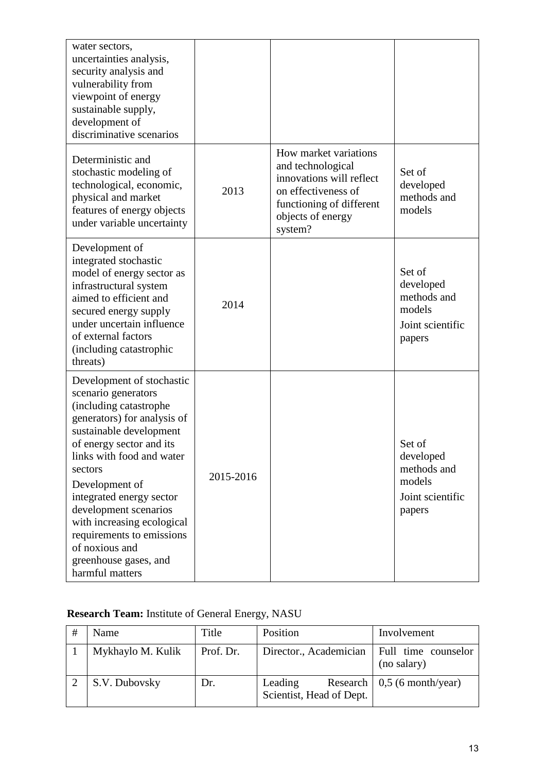| water sectors,<br>uncertainties analysis,<br>security analysis and<br>vulnerability from<br>viewpoint of energy<br>sustainable supply,<br>development of<br>discriminative scenarios                                                                                                                                                                                                                     |           |                                                                                                                                                           |                                                                            |
|----------------------------------------------------------------------------------------------------------------------------------------------------------------------------------------------------------------------------------------------------------------------------------------------------------------------------------------------------------------------------------------------------------|-----------|-----------------------------------------------------------------------------------------------------------------------------------------------------------|----------------------------------------------------------------------------|
| Deterministic and<br>stochastic modeling of<br>technological, economic,<br>physical and market<br>features of energy objects<br>under variable uncertainty                                                                                                                                                                                                                                               | 2013      | How market variations<br>and technological<br>innovations will reflect<br>on effectiveness of<br>functioning of different<br>objects of energy<br>system? | Set of<br>developed<br>methods and<br>models                               |
| Development of<br>integrated stochastic<br>model of energy sector as<br>infrastructural system<br>aimed to efficient and<br>secured energy supply<br>under uncertain influence<br>of external factors<br>(including catastrophic<br>threats)                                                                                                                                                             | 2014      |                                                                                                                                                           | Set of<br>developed<br>methods and<br>models<br>Joint scientific<br>papers |
| Development of stochastic<br>scenario generators<br>(including catastrophe<br>generators) for analysis of<br>sustainable development<br>of energy sector and its<br>links with food and water<br>sectors<br>Development of<br>integrated energy sector<br>development scenarios<br>with increasing ecological<br>requirements to emissions<br>of noxious and<br>greenhouse gases, and<br>harmful matters | 2015-2016 |                                                                                                                                                           | Set of<br>developed<br>methods and<br>models<br>Joint scientific<br>papers |

# **Research Team:** Institute of General Energy, NASU

| # | Name              | Title     | Position                            | Involvement                         |
|---|-------------------|-----------|-------------------------------------|-------------------------------------|
|   | Mykhaylo M. Kulik | Prof. Dr. | Director., Academician              | Full time counselor<br>(no salary)  |
|   | S.V. Dubovsky     | Dr.       | Leading<br>Scientist, Head of Dept. | Research $\vert 0.5$ (6 month/year) |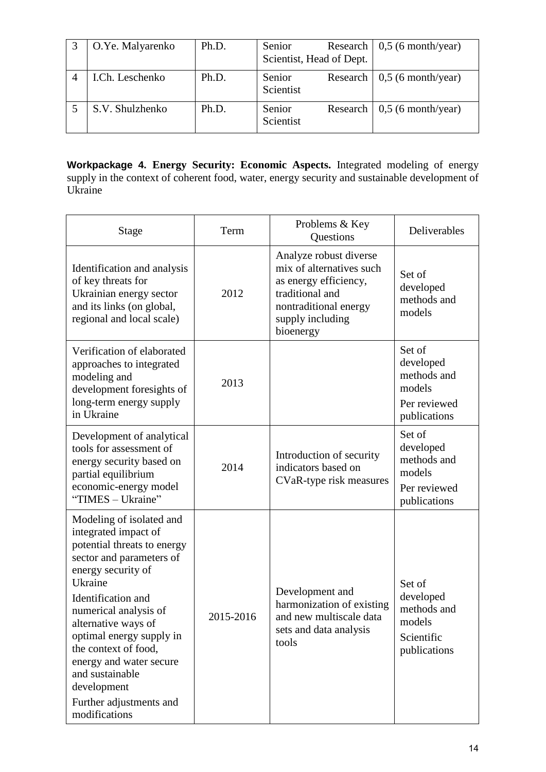| O.Ye. Malyarenko | Ph.D. | Senior<br>Scientist, Head of Dept. | Research $\vert 0.5$ (6 month/year) |
|------------------|-------|------------------------------------|-------------------------------------|
| I.Ch. Leschenko  | Ph.D. | Senior<br>Research<br>Scientist    | $0,5$ (6 month/year)                |
| S.V. Shulzhenko  | Ph.D. | Senior<br>Research<br>Scientist    | $0,5$ (6 month/year)                |

**Workpackage 4. Energy Security: Economic Aspects.** Integrated modeling of energy supply in the context of coherent food, water, energy security and sustainable development of Ukraine

| Stage                                                                                                                                                                                                                                                                                                                                                                           | Term      | Problems & Key<br>Questions                                                                                                                              | Deliverables                                                                 |
|---------------------------------------------------------------------------------------------------------------------------------------------------------------------------------------------------------------------------------------------------------------------------------------------------------------------------------------------------------------------------------|-----------|----------------------------------------------------------------------------------------------------------------------------------------------------------|------------------------------------------------------------------------------|
| Identification and analysis<br>of key threats for<br>Ukrainian energy sector<br>and its links (on global,<br>regional and local scale)                                                                                                                                                                                                                                          | 2012      | Analyze robust diverse<br>mix of alternatives such<br>as energy efficiency,<br>traditional and<br>nontraditional energy<br>supply including<br>bioenergy | Set of<br>developed<br>methods and<br>models                                 |
| Verification of elaborated<br>approaches to integrated<br>modeling and<br>development foresights of<br>long-term energy supply<br>in Ukraine                                                                                                                                                                                                                                    | 2013      |                                                                                                                                                          | Set of<br>developed<br>methods and<br>models<br>Per reviewed<br>publications |
| Development of analytical<br>tools for assessment of<br>energy security based on<br>partial equilibrium<br>economic-energy model<br>"TIMES - Ukraine"                                                                                                                                                                                                                           | 2014      | Introduction of security<br>indicators based on<br>CVaR-type risk measures                                                                               | Set of<br>developed<br>methods and<br>models<br>Per reviewed<br>publications |
| Modeling of isolated and<br>integrated impact of<br>potential threats to energy<br>sector and parameters of<br>energy security of<br>Ukraine<br>Identification and<br>numerical analysis of<br>alternative ways of<br>optimal energy supply in<br>the context of food,<br>energy and water secure<br>and sustainable<br>development<br>Further adjustments and<br>modifications | 2015-2016 | Development and<br>harmonization of existing<br>and new multiscale data<br>sets and data analysis<br>tools                                               | Set of<br>developed<br>methods and<br>models<br>Scientific<br>publications   |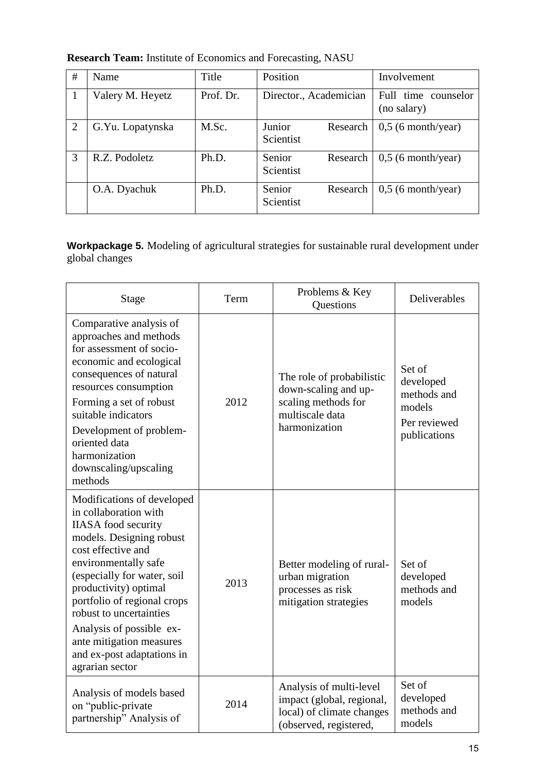| #              | Name             | Title     | Position                        | Involvement                        |
|----------------|------------------|-----------|---------------------------------|------------------------------------|
|                | Valery M. Heyetz | Prof. Dr. | Director., Academician          | Full time counselor<br>(no salary) |
| $\overline{2}$ | G.Yu. Lopatynska | M.Sc.     | Junior<br>Research<br>Scientist | $0,5$ (6 month/year)               |
| 3              | R.Z. Podoletz    | Ph.D.     | Senior<br>Research<br>Scientist | $0,5$ (6 month/year)               |
|                | O.A. Dyachuk     | Ph.D.     | Senior<br>Research<br>Scientist | $0,5$ (6 month/year)               |

**Research Team:** Institute of Economics and Forecasting, NASU

**Workpackage 5.** Modeling of agricultural strategies for sustainable rural development under global changes

| Stage                                                                                                                                                                                                                                                                                                                                                                                  | Term | Problems & Key<br>Questions                                                                                  | Deliverables                                                                 |
|----------------------------------------------------------------------------------------------------------------------------------------------------------------------------------------------------------------------------------------------------------------------------------------------------------------------------------------------------------------------------------------|------|--------------------------------------------------------------------------------------------------------------|------------------------------------------------------------------------------|
| Comparative analysis of<br>approaches and methods<br>for assessment of socio-<br>economic and ecological<br>consequences of natural<br>resources consumption<br>Forming a set of robust<br>suitable indicators<br>Development of problem-<br>oriented data<br>harmonization<br>downscaling/upscaling<br>methods                                                                        | 2012 | The role of probabilistic<br>down-scaling and up-<br>scaling methods for<br>multiscale data<br>harmonization | Set of<br>developed<br>methods and<br>models<br>Per reviewed<br>publications |
| Modifications of developed<br>in collaboration with<br><b>IIASA</b> food security<br>models. Designing robust<br>cost effective and<br>environmentally safe<br>(especially for water, soil<br>productivity) optimal<br>portfolio of regional crops<br>robust to uncertainties<br>Analysis of possible ex-<br>ante mitigation measures<br>and ex-post adaptations in<br>agrarian sector | 2013 | Better modeling of rural-<br>urban migration<br>processes as risk<br>mitigation strategies                   | Set of<br>developed<br>methods and<br>models                                 |
| Analysis of models based<br>on "public-private<br>partnership" Analysis of                                                                                                                                                                                                                                                                                                             | 2014 | Analysis of multi-level<br>impact (global, regional,<br>local) of climate changes<br>(observed, registered,  | Set of<br>developed<br>methods and<br>models                                 |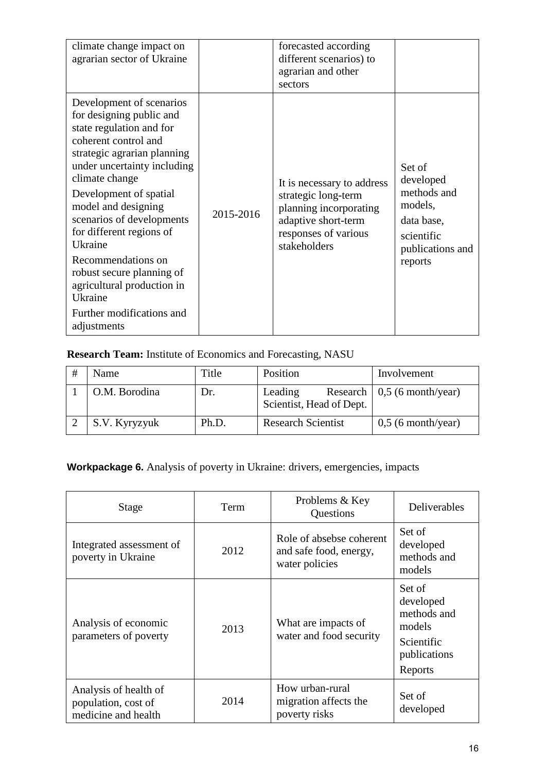| climate change impact on<br>agrarian sector of Ukraine                                                                                                                                                                                                                                                                                                                                                                                                |           | forecasted according<br>different scenarios) to<br>agrarian and other<br>sectors                                                           |                                                                                                          |
|-------------------------------------------------------------------------------------------------------------------------------------------------------------------------------------------------------------------------------------------------------------------------------------------------------------------------------------------------------------------------------------------------------------------------------------------------------|-----------|--------------------------------------------------------------------------------------------------------------------------------------------|----------------------------------------------------------------------------------------------------------|
| Development of scenarios<br>for designing public and<br>state regulation and for<br>coherent control and<br>strategic agrarian planning<br>under uncertainty including<br>climate change<br>Development of spatial<br>model and designing<br>scenarios of developments<br>for different regions of<br>Ukraine<br>Recommendations on<br>robust secure planning of<br>agricultural production in<br>Ukraine<br>Further modifications and<br>adjustments | 2015-2016 | It is necessary to address<br>strategic long-term<br>planning incorporating<br>adaptive short-term<br>responses of various<br>stakeholders | Set of<br>developed<br>methods and<br>models,<br>data base,<br>scientific<br>publications and<br>reports |

**Research Team:** Institute of Economics and Forecasting, NASU

| # | Name          | Title | Position                            | Involvement                     |
|---|---------------|-------|-------------------------------------|---------------------------------|
|   | O.M. Borodina | Dr.   | Leading<br>Scientist, Head of Dept. | Research   $0,5$ (6 month/year) |
|   | S.V. Kyryzyuk | Ph.D. | <b>Research Scientist</b>           | $0,5$ (6 month/year)            |

**Workpackage 6.** Analysis of poverty in Ukraine: drivers, emergencies, impacts

| Stage                                                               | Term | Problems & Key<br>Questions                                          |                                                                                       |
|---------------------------------------------------------------------|------|----------------------------------------------------------------------|---------------------------------------------------------------------------------------|
| Integrated assessment of<br>poverty in Ukraine                      | 2012 | Role of absebse coherent<br>and safe food, energy,<br>water policies | Set of<br>developed<br>methods and<br>models                                          |
| Analysis of economic<br>parameters of poverty                       | 2013 | What are impacts of<br>water and food security                       | Set of<br>developed<br>methods and<br>models<br>Scientific<br>publications<br>Reports |
| Analysis of health of<br>population, cost of<br>medicine and health | 2014 | How urban-rural<br>migration affects the<br>poverty risks            | Set of<br>developed                                                                   |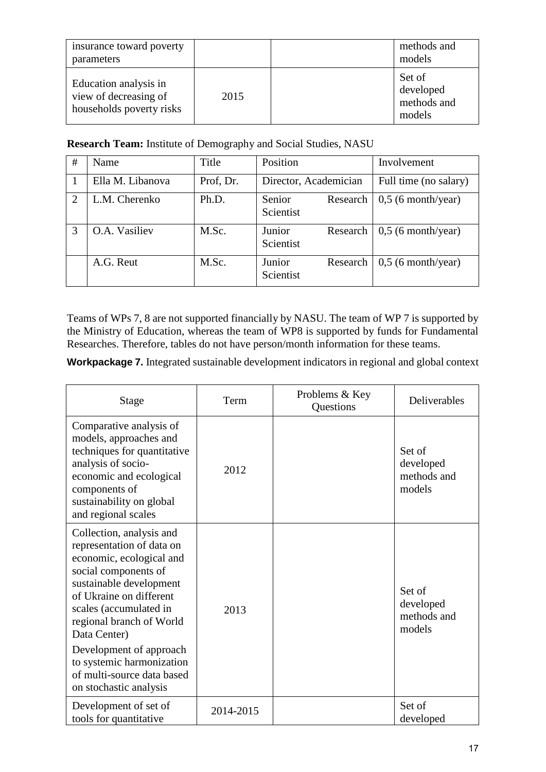| insurance toward poverty<br>parameters                                     |      | methods and<br>models                        |
|----------------------------------------------------------------------------|------|----------------------------------------------|
| Education analysis in<br>view of decreasing of<br>households poverty risks | 2015 | Set of<br>developed<br>methods and<br>models |

| <b>Research Team:</b> Institute of Demography and Social Studies, NASU |  |  |  |  |  |  |  |
|------------------------------------------------------------------------|--|--|--|--|--|--|--|
|------------------------------------------------------------------------|--|--|--|--|--|--|--|

| # | Name             | Title     | Position                        | Involvement           |
|---|------------------|-----------|---------------------------------|-----------------------|
|   | Ella M. Libanova | Prof, Dr. | Director, Academician           | Full time (no salary) |
| 2 | L.M. Cherenko    | Ph.D.     | Senior<br>Research<br>Scientist | $0,5$ (6 month/year)  |
| 3 | O.A. Vasiliev    | M.Sc.     | Junior<br>Research<br>Scientist | $0,5$ (6 month/year)  |
|   | A.G. Reut        | M.Sc.     | Junior<br>Research<br>Scientist | $0,5$ (6 month/year)  |

Teams of WPs 7, 8 are not supported financially by NASU. The team of WP 7 is supported by the Ministry of Education, whereas the team of WP8 is supported by funds for Fundamental Researches. Therefore, tables do not have person/month information for these teams.

**Workpackage 7.** Integrated sustainable development indicators in regional and global context

| <b>Stage</b>                                                                                                                                                                                                                                                                                                                                          | Term      | Problems & Key<br>Questions | Deliverables                                 |
|-------------------------------------------------------------------------------------------------------------------------------------------------------------------------------------------------------------------------------------------------------------------------------------------------------------------------------------------------------|-----------|-----------------------------|----------------------------------------------|
| Comparative analysis of<br>models, approaches and<br>techniques for quantitative<br>analysis of socio-<br>economic and ecological<br>components of<br>sustainability on global<br>and regional scales                                                                                                                                                 | 2012      |                             | Set of<br>developed<br>methods and<br>models |
| Collection, analysis and<br>representation of data on<br>economic, ecological and<br>social components of<br>sustainable development<br>of Ukraine on different<br>scales (accumulated in<br>regional branch of World<br>Data Center)<br>Development of approach<br>to systemic harmonization<br>of multi-source data based<br>on stochastic analysis | 2013      |                             | Set of<br>developed<br>methods and<br>models |
| Development of set of<br>tools for quantitative                                                                                                                                                                                                                                                                                                       | 2014-2015 |                             | Set of<br>developed                          |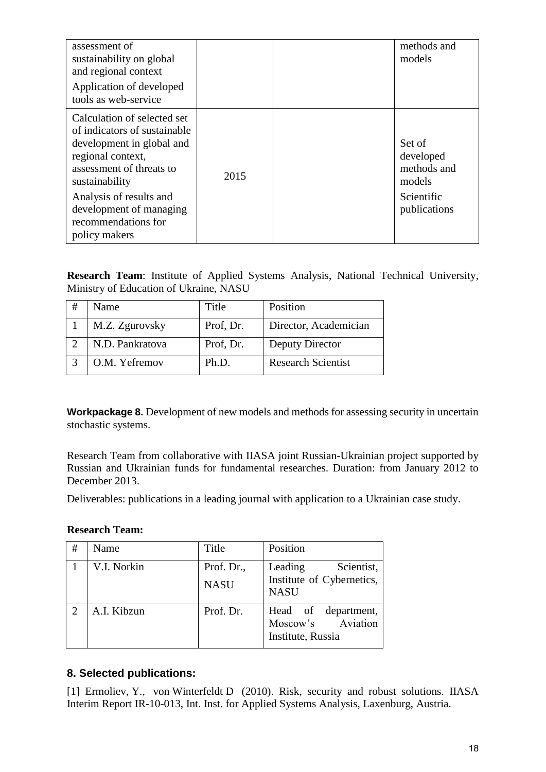| assessment of<br>sustainability on global<br>and regional context<br>Application of developed<br>tools as web-service                                       |      | methods and<br>models                        |
|-------------------------------------------------------------------------------------------------------------------------------------------------------------|------|----------------------------------------------|
| Calculation of selected set<br>of indicators of sustainable<br>development in global and<br>regional context,<br>assessment of threats to<br>sustainability | 2015 | Set of<br>developed<br>methods and<br>models |
| Analysis of results and<br>development of managing<br>recommendations for<br>policy makers                                                                  |      | Scientific<br>publications                   |

**Research Team**: Institute of Applied Systems Analysis, National Technical University, Ministry of Education of Ukraine, NASU

| # | Name            | Title     | Position                  |
|---|-----------------|-----------|---------------------------|
|   | M.Z. Zgurovsky  | Prof, Dr. | Director, Academician     |
|   | N.D. Pankratova | Prof, Dr. | Deputy Director           |
|   | O.M. Yefremov   | Ph.D.     | <b>Research Scientist</b> |

**Workpackage 8.** Development of new models and methods for assessing security in uncertain stochastic systems.

Research Team from collaborative with IIASA joint Russian-Ukrainian project supported by Russian and Ukrainian funds for fundamental researches. Duration: from January 2012 to December 2013.

Deliverables: publications in a leading journal with application to a Ukrainian case study.

#### **Research Team:**

| #                           | Name        | Title                     | Position                                                          |
|-----------------------------|-------------|---------------------------|-------------------------------------------------------------------|
|                             | V.I. Norkin | Prof. Dr.,<br><b>NASU</b> | Scientist,<br>Leading<br>Institute of Cybernetics,<br><b>NASU</b> |
| $\mathcal{D}_{\mathcal{L}}$ | A.I. Kibzun | Prof. Dr.                 | Head of department,<br>Moscow's Aviation<br>Institute, Russia     |

# **8. Selected publications:**

[1] [Ermoliev,](javascript:subwinsrch() Y., von [Winterfeldt](javascript:subwinsrch() D (2010). Risk, security and robust solutions. IIASA Interim Report IR-10-013, Int. Inst. for Applied Systems Analysis, Laxenburg, Austria.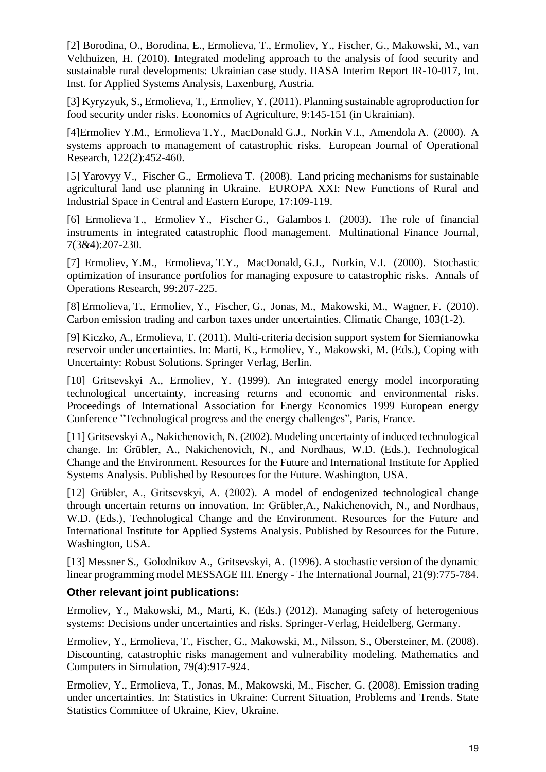[2] Borodina, O., Borodina, E., Ermolieva, T., Ermoliev, Y., Fischer, G., Makowski, M., van Velthuizen, H. (2010). Integrated modeling approach to the analysis of food security and sustainable rural developments: Ukrainian case study. IIASA Interim Report IR-10-017, Int. Inst. for Applied Systems Analysis, Laxenburg, Austria.

[3] Kyryzyuk, S., Ermolieva, T., Ermoliev, Y. (2011). Planning sustainable agroproduction for food security under risks. Economics of Agriculture, 9:145-151 (in Ukrainian).

[4]Ermoliev Y.M., Ermolieva T.Y., MacDonald G.J., Norkin V.I., Amendola A. (2000). A systems approach to management of catastrophic risks. European Journal of Operational Research, 122(2):452-460.

[5] Yarovyy V., Fischer G., Ermolieva T. (2008). Land pricing mechanisms for sustainable agricultural land use planning in Ukraine. EUROPA XXI: New Functions of Rural and Industrial Space in Central and Eastern Europe, 17:109-119.

[6] Ermolieva T., Ermoliev Y., Fischer G., Galambos I. (2003). The role of financial instruments in integrated catastrophic flood management. Multinational Finance Journal, 7(3&4):207-230.

[7] Ermoliev, Y.M., Ermolieva, T.Y., MacDonald, G.J., Norkin, V.I. (2000). Stochastic optimization of insurance portfolios for managing exposure to catastrophic risks. Annals of Operations Research, 99:207-225.

[8] Ermolieva, T., Ermoliev, Y., Fischer, G., Jonas, M., Makowski, M., Wagner, F. (2010). Carbon emission trading and carbon taxes under uncertainties. Climatic Change, 103(1-2).

[9] Kiczko, A., Ermolieva, T. (2011). Multi-criteria decision support system for Siemianowka reservoir under uncertainties. In: Marti, K., Ermoliev, Y., Makowski, M. (Eds.), Coping with Uncertainty: Robust Solutions. Springer Verlag, Berlin.

[10] Gritsevskyi A., Ermoliev, Y. (1999). An integrated energy model incorporating technological uncertainty, increasing returns and economic and environmental risks. Proceedings of International Association for Energy Economics 1999 European energy Conference "Technological progress and the energy challenges", Paris, France.

[11] Gritsevskyi A., Nakichenovich, N. (2002). Modeling uncertainty of induced technological change. In: Grübler, A., Nakichenovich, N., and Nordhaus, W.D. (Eds.), Technological Change and the Environment. Resources for the Future and International Institute for Applied Systems Analysis. Published by Resources for the Future. Washington, USA.

[12] Grübler, A., Gritsevskyi, A. (2002). A model of endogenized technological change through uncertain returns on innovation. In: Grübler,A., Nakichenovich, N., and Nordhaus, W.D. (Eds.), Technological Change and the Environment. Resources for the Future and International Institute for Applied Systems Analysis. Published by Resources for the Future. Washington, USA.

[13[\] Messner](javascript:subwinsrch() S., [Golodnikov](javascript:subwinsrch() A., [Gritsevskyi,](javascript:subwinsrch() A. (1996). A stochastic version of the dynamic linear programming model MESSAGE III. Energy - The International Journal, 21(9):775-784.

#### **Other relevant joint publications:**

Ermoliev, Y., Makowski, M., Marti, K. (Eds.) (2012). Managing safety of heterogenious systems: Decisions under uncertainties and risks. Springer-Verlag, Heidelberg, Germany.

[Ermoliev,](javascript:subwinsrch() Y., [Ermolieva,](javascript:subwinsrch() T., [Fischer,](javascript:subwinsrch() G., [Makowski,](javascript:subwinsrch() M., [Nilsson,](javascript:subwinsrch() S., [Obersteiner,](javascript:subwinsrch() M. (2008). Discounting, catastrophic risks management and vulnerability modeling. Mathematics and Computers in Simulation, 79(4):917-924.

[Ermoliev,](javascript:subwinsrch() Y., [Ermolieva,](javascript:subwinsrch() T., [Jonas,](javascript:subwinsrch() M., [Makowski,](javascript:subwinsrch() M., [Fischer,](javascript:subwinsrch() G. (2008). Emission trading under uncertainties. In: Statistics in Ukraine: Current Situation, Problems and Trends. State Statistics Committee of Ukraine, Kiev, Ukraine.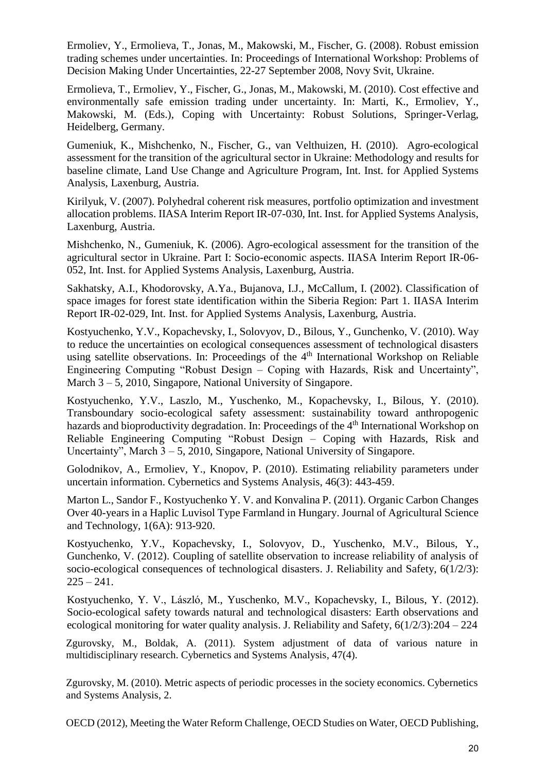[Ermoliev,](javascript:subwinsrch() Y., [Ermolieva,](javascript:subwinsrch() T., [Jonas,](javascript:subwinsrch() M., [Makowski,](javascript:subwinsrch() M., [Fischer,](javascript:subwinsrch() G. (2008). Robust emission trading schemes under uncertainties. In: Proceedings of International Workshop: Problems of Decision Making Under Uncertainties, 22-27 September 2008, Novy Svit, Ukraine.

[Ermolieva,](javascript:subwinsrch() T., [Ermoliev,](javascript:subwinsrch() Y., [Fischer,](javascript:subwinsrch() G., [Jonas,](javascript:subwinsrch() M., [Makowski,](javascript:subwinsrch() M. (2010). Cost effective and environmentally safe emission trading under uncertainty. In: Marti, K., Ermoliev, Y., Makowski, M. (Eds.), Coping with Uncertainty: Robust Solutions, Springer-Verlag, Heidelberg, Germany.

[Gumeniuk,](javascript:subwinsrch() K., [Mishchenko,](javascript:subwinsrch() N., [Fischer,](javascript:subwinsrch() G., van [Velthuizen,](javascript:subwinsrch() H. (2010). Agro-ecological assessment for the transition of the agricultural sector in Ukraine: Methodology and results for baseline climate, Land Use Change and Agriculture Program, Int. Inst. for Applied Systems Analysis, Laxenburg, Austria.

Kirilyuk, V. (2007). Polyhedral coherent risk measures, portfolio optimization and investment allocation problems. IIASA Interim Report IR-07-030, Int. Inst. for Applied Systems Analysis, Laxenburg, Austria.

[Mishchenko,](javascript:subwinsrch() N., [Gumeniuk,](javascript:subwinsrch() K. (2006). Agro-ecological assessment for the transition of the agricultural sector in Ukraine. Part I: Socio-economic aspects. IIASA Interim Report IR-06- 052, Int. Inst. for Applied Systems Analysis, Laxenburg, Austria.

[Sakhatsky,](javascript:subwinsrch() A.I., [Khodorovsky,](javascript:subwinsrch() A.Ya., [Bujanova,](javascript:subwinsrch() I.J., [McCallum,](javascript:subwinsrch() I. (2002). Classification of space images for forest state identification within the Siberia Region: Part 1. IIASA Interim Report IR-02-029, Int. Inst. for Applied Systems Analysis, Laxenburg, Austria.

Kostyuchenko, Y.V., Kopachevsky, I., Solovyov, D., Bilous, Y., Gunchenko, V. (2010). Way to reduce the uncertainties on ecological consequences assessment of technological disasters using satellite observations. In: Proceedings of the 4<sup>th</sup> International Workshop on Reliable Engineering Computing "Robust Design – Coping with Hazards, Risk and Uncertainty", March 3 – 5, 2010, Singapore, National University of Singapore.

Kostyuchenko, Y.V., Laszlo, M., Yuschenko, M., Kopachevsky, I., Bilous, Y. (2010). Transboundary socio-ecological safety assessment: sustainability toward anthropogenic hazards and bioproductivity degradation. In: Proceedings of the 4<sup>th</sup> International Workshop on Reliable Engineering Computing "Robust Design – Coping with Hazards, Risk and Uncertainty", March 3 – 5, 2010, Singapore, National University of Singapore.

Golodnikov, A., Ermoliev, Y., Knopov, P. (2010). Estimating reliability parameters under uncertain information. Cybernetics and Systems Analysis, 46(3): 443-459.

Marton L., Sandor F., Kostyuchenko Y. V. and Konvalina P. (2011). Organic Carbon Changes Over 40-years in a Haplic Luvisol Type Farmland in Hungary. Journal of Agricultural Science and Technology, 1(6A): 913-920.

Kostyuchenko, Y.V., Kopachevsky, I., Solovyov, D., Yuschenko, M.V., Bilous, Y., Gunchenko, V. (2012). Coupling of satellite observation to increase reliability of analysis of socio-ecological consequences of technological disasters. J. Reliability and Safety, 6(1/2/3):  $225 - 241$ .

Kostyuchenko, Y. V., László, M., Yuschenko, M.V., Kopachevsky, I., Bilous, Y. (2012). Socio-ecological safety towards natural and technological disasters: Earth observations and ecological monitoring for water quality analysis. J. Reliability and Safety, 6(1/2/3):204 – 224

Zgurovsky, M., Boldak, A. (2011). System adjustment of data of various nature in multidisciplinary research. Cybernetics and Systems Analysis, 47(4).

Zgurovsky, M. (2010). Metric aspects of periodic processes in the society economics. Cybernetics and Systems Analysis, 2.

OECD (2012), Meeting the Water Reform Challenge, OECD Studies on Water, OECD Publishing,